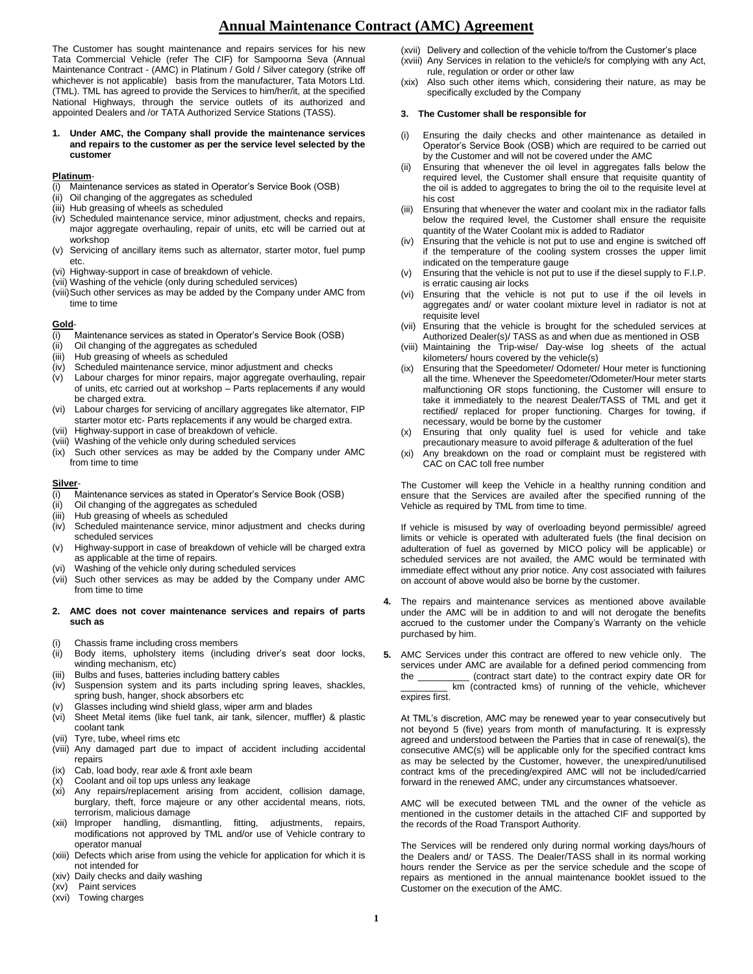# **Annual Maintenance Contract (AMC) Agreement**

The Customer has sought maintenance and repairs services for his new Tata Commercial Vehicle (refer The CIF) for Sampoorna Seva (Annual Maintenance Contract - (AMC) in Platinum / Gold / Silver category (strike off whichever is not applicable) basis from the manufacturer, Tata Motors Ltd. (TML). TML has agreed to provide the Services to him/her/it, at the specified National Highways, through the service outlets of its authorized and appointed Dealers and /or TATA Authorized Service Stations (TASS).

**1. Under AMC, the Company shall provide the maintenance services and repairs to the customer as per the service level selected by the customer**

## **Platinum**-

- (i) Maintenance services as stated in Operator's Service Book (OSB)
- (ii) Oil changing of the aggregates as scheduled
- (iii) Hub greasing of wheels as scheduled
- (iv) Scheduled maintenance service, minor adjustment, checks and repairs, major aggregate overhauling, repair of units, etc will be carried out at workshop
- (v) Servicing of ancillary items such as alternator, starter motor, fuel pump etc.
- (vi) Highway-support in case of breakdown of vehicle.
- (vii) Washing of the vehicle (only during scheduled services)
- (viii)Such other services as may be added by the Company under AMC from time to time

## **Gold**-

- (i) Maintenance services as stated in Operator's Service Book (OSB)
- (ii) Oil changing of the aggregates as scheduled
- (iii) Hub greasing of wheels as scheduled
- (iv) Scheduled maintenance service, minor adjustment and checks
- (v) Labour charges for minor repairs, major aggregate overhauling, repair of units, etc carried out at workshop – Parts replacements if any would be charged extra.
- (vi) Labour charges for servicing of ancillary aggregates like alternator, FIP starter motor etc- Parts replacements if any would be charged extra.
- (vii) Highway-support in case of breakdown of vehicle.
- (viii) Washing of the vehicle only during scheduled services
- (ix) Such other services as may be added by the Company under AMC from time to time

## **Silver**-

- (i) Maintenance services as stated in Operator's Service Book (OSB)
- (ii) Oil changing of the aggregates as scheduled
- (iii) Hub greasing of wheels as scheduled
- (iv) Scheduled maintenance service, minor adjustment and checks during scheduled services
- (v) Highway-support in case of breakdown of vehicle will be charged extra as applicable at the time of repairs.
- (vi) Washing of the vehicle only during scheduled services
- (vii) Such other services as may be added by the Company under AMC from time to time
- **2. AMC does not cover maintenance services and repairs of parts such as**
- (i) Chassis frame including cross members
- (ii) Body items, upholstery items (including driver's seat door locks, winding mechanism, etc)
- (iii) Bulbs and fuses, batteries including battery cables
- (iv) Suspension system and its parts including spring leaves, shackles, spring bush, hanger, shock absorbers etc
- (v) Glasses including wind shield glass, wiper arm and blades
- (vi) Sheet Metal items (like fuel tank, air tank, silencer, muffler) & plastic coolant tank
- (vii) Tyre, tube, wheel rims etc
- (viii) Any damaged part due to impact of accident including accidental repairs
- (ix) Cab, load body, rear axle & front axle beam
- (x) Coolant and oil top ups unless any leakage (xi) Any repairs/replacement arising from accident, collision damage, burglary, theft, force majeure or any other accidental means, riots, terrorism, malicious damage
- (xii) Improper handling, dismantling, fitting, adjustments, repairs, modifications not approved by TML and/or use of Vehicle contrary to operator manual
- (xiii) Defects which arise from using the vehicle for application for which it is not intended for
- (xiv) Daily checks and daily washing
- (xv) Paint services
- (xvi) Towing charges
- (xvii) Delivery and collection of the vehicle to/from the Customer's place
- (xviii) Any Services in relation to the vehicle/s for complying with any Act, rule, regulation or order or other law
- (xix) Also such other items which, considering their nature, as may be specifically excluded by the Company

#### **3. The Customer shall be responsible for**

- (i) Ensuring the daily checks and other maintenance as detailed in Operator's Service Book (OSB) which are required to be carried out by the Customer and will not be covered under the AMC
- Ensuring that whenever the oil level in aggregates falls below the required level, the Customer shall ensure that requisite quantity of the oil is added to aggregates to bring the oil to the requisite level at his cost
- (iii) Ensuring that whenever the water and coolant mix in the radiator falls below the required level, the Customer shall ensure the requisite quantity of the Water Coolant mix is added to Radiator
- (iv) Ensuring that the vehicle is not put to use and engine is switched off if the temperature of the cooling system crosses the upper limit indicated on the temperature gauge
- (v) Ensuring that the vehicle is not put to use if the diesel supply to F.I.P. is erratic causing air locks
- (vi) Ensuring that the vehicle is not put to use if the oil levels in aggregates and/ or water coolant mixture level in radiator is not at requisite level
- (vii) Ensuring that the vehicle is brought for the scheduled services at Authorized Dealer(s)/ TASS as and when due as mentioned in OSB
- (viii) Maintaining the Trip-wise/ Day-wise log sheets of the actual kilometers/ hours covered by the vehicle(s)
- (ix) Ensuring that the Speedometer/ Odometer/ Hour meter is functioning all the time. Whenever the Speedometer/Odometer/Hour meter starts malfunctioning OR stops functioning, the Customer will ensure to take it immediately to the nearest Dealer/TASS of TML and get it rectified/ replaced for proper functioning. Charges for towing, if necessary, would be borne by the customer
- (x) Ensuring that only quality fuel is used for vehicle and take precautionary measure to avoid pilferage & adulteration of the fuel
- (xi) Any breakdown on the road or complaint must be registered with CAC on CAC toll free number

The Customer will keep the Vehicle in a healthy running condition and ensure that the Services are availed after the specified running of the Vehicle as required by TML from time to time.

If vehicle is misused by way of overloading beyond permissible/ agreed limits or vehicle is operated with adulterated fuels (the final decision on adulteration of fuel as governed by MICO policy will be applicable) or scheduled services are not availed, the AMC would be terminated with immediate effect without any prior notice. Any cost associated with failures on account of above would also be borne by the customer.

- **4.** The repairs and maintenance services as mentioned above available under the AMC will be in addition to and will not derogate the benefits accrued to the customer under the Company's Warranty on the vehicle purchased by him.
- **5.** AMC Services under this contract are offered to new vehicle only. The services under AMC are available for a defined period commencing from the \_\_\_\_\_\_\_\_\_\_ (contract start date) to the contract expiry date OR for km (contracted kms) of running of the vehicle, whichever expires first.

At TML's discretion, AMC may be renewed year to year consecutively but not beyond 5 (five) years from month of manufacturing. It is expressly agreed and understood between the Parties that in case of renewal(s), the consecutive AMC(s) will be applicable only for the specified contract kms as may be selected by the Customer, however, the unexpired/unutilised contract kms of the preceding/expired AMC will not be included/carried forward in the renewed AMC, under any circumstances whatsoever.

AMC will be executed between TML and the owner of the vehicle as mentioned in the customer details in the attached CIF and supported by the records of the Road Transport Authority.

The Services will be rendered only during normal working days/hours of the Dealers and/ or TASS. The Dealer/TASS shall in its normal working hours render the Service as per the service schedule and the scope of repairs as mentioned in the annual maintenance booklet issued to the Customer on the execution of the AMC.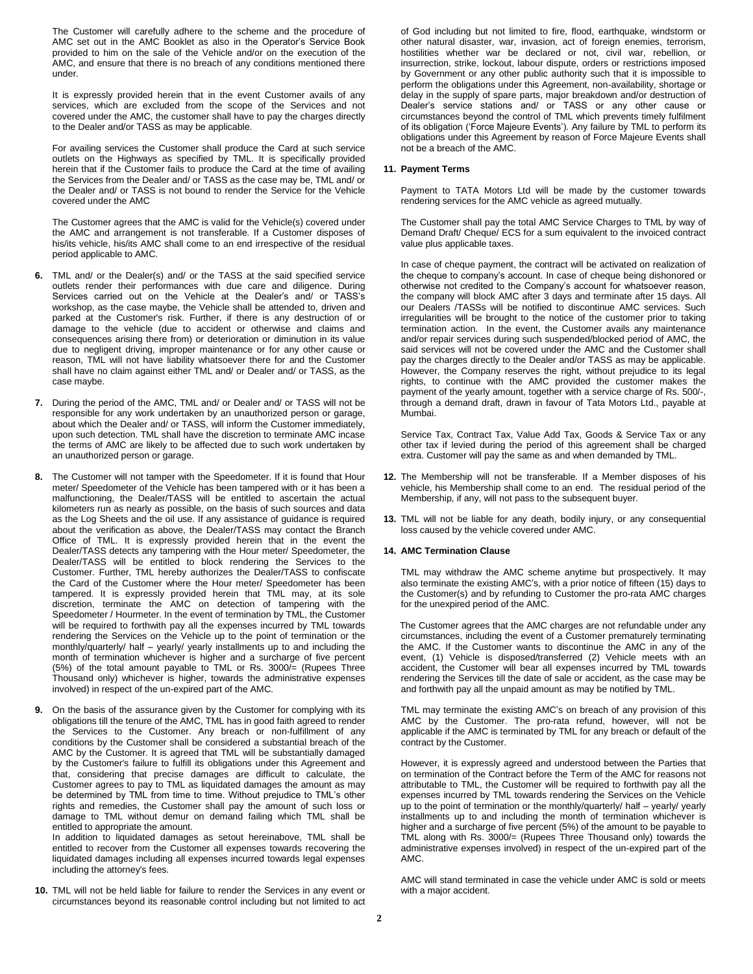The Customer will carefully adhere to the scheme and the procedure of AMC set out in the AMC Booklet as also in the Operator's Service Book provided to him on the sale of the Vehicle and/or on the execution of the AMC, and ensure that there is no breach of any conditions mentioned there under.

It is expressly provided herein that in the event Customer avails of any services, which are excluded from the scope of the Services and not covered under the AMC, the customer shall have to pay the charges directly to the Dealer and/or TASS as may be applicable.

For availing services the Customer shall produce the Card at such service outlets on the Highways as specified by TML. It is specifically provided herein that if the Customer fails to produce the Card at the time of availing the Services from the Dealer and/ or TASS as the case may be, TML and/ or the Dealer and/ or TASS is not bound to render the Service for the Vehicle covered under the AMC

The Customer agrees that the AMC is valid for the Vehicle(s) covered under the AMC and arrangement is not transferable. If a Customer disposes of his/its vehicle, his/its AMC shall come to an end irrespective of the residual period applicable to AMC.

- **6.** TML and/ or the Dealer(s) and/ or the TASS at the said specified service outlets render their performances with due care and diligence. During Services carried out on the Vehicle at the Dealer's and/ or TASS's workshop, as the case maybe, the Vehicle shall be attended to, driven and parked at the Customer's risk. Further, if there is any destruction of or damage to the vehicle (due to accident or otherwise and claims and consequences arising there from) or deterioration or diminution in its value due to negligent driving, improper maintenance or for any other cause or reason, TML will not have liability whatsoever there for and the Customer shall have no claim against either TML and/ or Dealer and/ or TASS, as the case maybe.
- **7.** During the period of the AMC, TML and/ or Dealer and/ or TASS will not be responsible for any work undertaken by an unauthorized person or garage, about which the Dealer and/ or TASS, will inform the Customer immediately, upon such detection. TML shall have the discretion to terminate AMC incase the terms of AMC are likely to be affected due to such work undertaken by an unauthorized person or garage.
- **8.** The Customer will not tamper with the Speedometer. If it is found that Hour meter/ Speedometer of the Vehicle has been tampered with or it has been a malfunctioning, the Dealer/TASS will be entitled to ascertain the actual kilometers run as nearly as possible, on the basis of such sources and data as the Log Sheets and the oil use. If any assistance of guidance is required about the verification as above, the Dealer/TASS may contact the Branch Office of TML. It is expressly provided herein that in the event the Dealer/TASS detects any tampering with the Hour meter/ Speedometer, the Dealer/TASS will be entitled to block rendering the Services to the Customer. Further, TML hereby authorizes the Dealer/TASS to confiscate the Card of the Customer where the Hour meter/ Speedometer has been tampered. It is expressly provided herein that TML may, at its sole discretion, terminate the AMC on detection of tampering with the Speedometer / Hourmeter. In the event of termination by TML, the Customer will be required to forthwith pay all the expenses incurred by TML towards rendering the Services on the Vehicle up to the point of termination or the monthly/quarterly/ half – yearly/ yearly installments up to and including the month of termination whichever is higher and a surcharge of five percent (5%) of the total amount payable to TML or Rs. 3000/= (Rupees Three Thousand only) whichever is higher, towards the administrative expenses involved) in respect of the un-expired part of the AMC.
- **9.** On the basis of the assurance given by the Customer for complying with its obligations till the tenure of the AMC, TML has in good faith agreed to render the Services to the Customer. Any breach or non-fulfillment of any conditions by the Customer shall be considered a substantial breach of the AMC by the Customer. It is agreed that TML will be substantially damaged by the Customer's failure to fulfill its obligations under this Agreement and that, considering that precise damages are difficult to calculate, the Customer agrees to pay to TML as liquidated damages the amount as may be determined by TML from time to time. Without prejudice to TML's other rights and remedies, the Customer shall pay the amount of such loss or damage to TML without demur on demand failing which TML shall be entitled to appropriate the amount.

In addition to liquidated damages as setout hereinabove, TML shall be entitled to recover from the Customer all expenses towards recovering the liquidated damages including all expenses incurred towards legal expenses including the attorney's fees.

**10.** TML will not be held liable for failure to render the Services in any event or circumstances beyond its reasonable control including but not limited to act

of God including but not limited to fire, flood, earthquake, windstorm or other natural disaster, war, invasion, act of foreign enemies, terrorism, hostilities whether war be declared or not, civil war, rebellion, or insurrection, strike, lockout, labour dispute, orders or restrictions imposed by Government or any other public authority such that it is impossible to perform the obligations under this Agreement, non-availability, shortage or delay in the supply of spare parts, major breakdown and/or destruction of Dealer's service stations and/ or TASS or any other cause or circumstances beyond the control of TML which prevents timely fulfilment of its obligation ('Force Majeure Events'). Any failure by TML to perform its obligations under this Agreement by reason of Force Majeure Events shall not be a breach of the AMC.

# **11. Payment Terms**

Payment to TATA Motors Ltd will be made by the customer towards rendering services for the AMC vehicle as agreed mutually.

The Customer shall pay the total AMC Service Charges to TML by way of Demand Draft/ Cheque/ ECS for a sum equivalent to the invoiced contract value plus applicable taxes.

In case of cheque payment, the contract will be activated on realization of the cheque to company's account. In case of cheque being dishonored or otherwise not credited to the Company's account for whatsoever reason, the company will block AMC after 3 days and terminate after 15 days. All our Dealers /TASSs will be notified to discontinue AMC services. Such irregularities will be brought to the notice of the customer prior to taking termination action. In the event, the Customer avails any maintenance and/or repair services during such suspended/blocked period of AMC, the said services will not be covered under the AMC and the Customer shall pay the charges directly to the Dealer and/or TASS as may be applicable. However, the Company reserves the right, without prejudice to its legal rights, to continue with the AMC provided the customer makes the payment of the yearly amount, together with a service charge of Rs. 500/-, through a demand draft, drawn in favour of Tata Motors Ltd., payable at Mumbai.

Service Tax, Contract Tax, Value Add Tax, Goods & Service Tax or any other tax if levied during the period of this agreement shall be charged extra. Customer will pay the same as and when demanded by TML.

- **12.** The Membership will not be transferable. If a Member disposes of his vehicle, his Membership shall come to an end. The residual period of the Membership, if any, will not pass to the subsequent buyer.
- **13.** TML will not be liable for any death, bodily injury, or any consequential loss caused by the vehicle covered under AMC.

#### **14. AMC Termination Clause**

TML may withdraw the AMC scheme anytime but prospectively. It may also terminate the existing AMC's, with a prior notice of fifteen (15) days to the Customer(s) and by refunding to Customer the pro-rata AMC charges for the unexpired period of the AMC.

 The Customer agrees that the AMC charges are not refundable under any circumstances, including the event of a Customer prematurely terminating the AMC. If the Customer wants to discontinue the AMC in any of the event, (1) Vehicle is disposed/transferred (2) Vehicle meets with an accident, the Customer will bear all expenses incurred by TML towards rendering the Services till the date of sale or accident, as the case may be and forthwith pay all the unpaid amount as may be notified by TML.

TML may terminate the existing AMC's on breach of any provision of this AMC by the Customer. The pro-rata refund, however, will not be applicable if the AMC is terminated by TML for any breach or default of the contract by the Customer.

However, it is expressly agreed and understood between the Parties that on termination of the Contract before the Term of the AMC for reasons not attributable to TML, the Customer will be required to forthwith pay all the expenses incurred by TML towards rendering the Services on the Vehicle up to the point of termination or the monthly/quarterly/ half – yearly/ yearly installments up to and including the month of termination whichever is higher and a surcharge of five percent (5%) of the amount to be payable to TML along with Rs. 3000/= (Rupees Three Thousand only) towards the administrative expenses involved) in respect of the un-expired part of the AMC.

AMC will stand terminated in case the vehicle under AMC is sold or meets with a major accident.